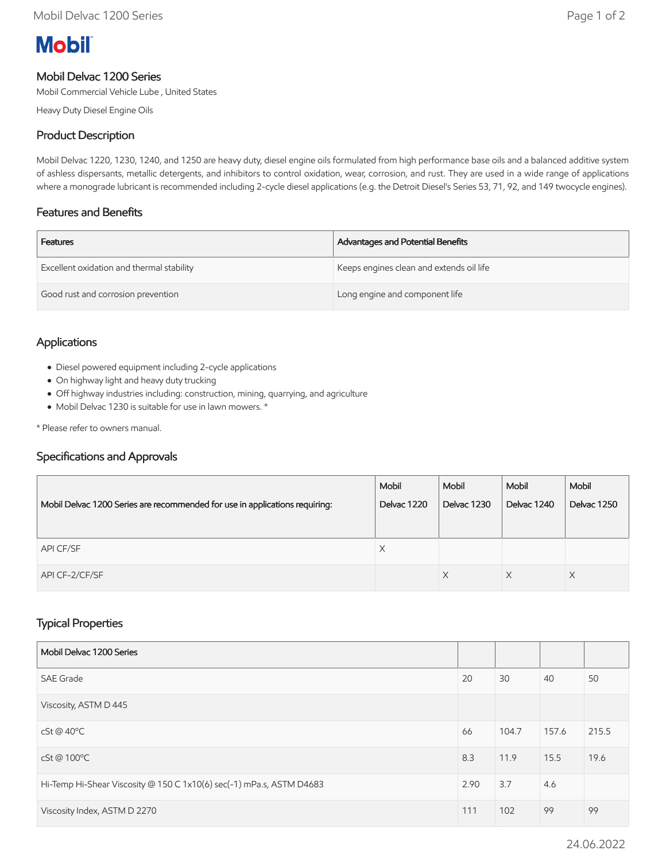# **Mobil**

#### Mobil Delvac 1200 Series

Mobil Commercial Vehicle Lube , United States

Heavy Duty Diesel Engine Oils

### Product Description

Mobil Delvac 1220, 1230, 1240, and 1250 are heavy duty, diesel engine oils formulated from high performance base oils and a balanced additive system of ashless dispersants, metallic detergents, and inhibitors to control oxidation, wear, corrosion, and rust. They are used in a wide range of applications where a monograde lubricant is recommended including 2-cycle diesel applications (e.g. the Detroit Diesel's Series 53, 71, 92, and 149 twocycle engines).

#### Features and Benefits

| <b>Features</b>                           | Advantages and Potential Benefits        |
|-------------------------------------------|------------------------------------------|
| Excellent oxidation and thermal stability | Keeps engines clean and extends oil life |
| Good rust and corrosion prevention        | Long engine and component life           |

#### Applications

- Diesel powered equipment including 2-cycle applications
- On highway light and heavy duty trucking
- Off highway industries including: construction, mining, quarrying, and agriculture
- Mobil Delvac 1230 is suitable for use in lawn mowers. \*

\* Please refer to owners manual.

#### Specifications and Approvals

|                                                                             | Mobil       | Mobil       | Mobil       | Mobil              |
|-----------------------------------------------------------------------------|-------------|-------------|-------------|--------------------|
| Mobil Delvac 1200 Series are recommended for use in applications requiring: | Delvac 1220 | Delvac 1230 | Delvac 1240 | <b>Delvac 1250</b> |
|                                                                             |             |             |             |                    |
| API CF/SF                                                                   | X           |             |             |                    |
| API CF-2/CF/SF                                                              |             | X           | X           | X                  |

## Typical Properties

| Mobil Delvac 1200 Series                                             |      |       |       |       |
|----------------------------------------------------------------------|------|-------|-------|-------|
| <b>SAE Grade</b>                                                     | 20   | 30    | 40    | 50    |
| Viscosity, ASTM D 445                                                |      |       |       |       |
| $cSt@40^{\circ}C$                                                    | 66   | 104.7 | 157.6 | 215.5 |
| cSt@100°C                                                            | 8.3  | 11.9  | 15.5  | 19.6  |
| Hi-Temp Hi-Shear Viscosity @ 150 C 1x10(6) sec(-1) mPa.s, ASTM D4683 | 2.90 | 3.7   | 4.6   |       |
| Viscosity Index, ASTM D 2270                                         | 111  | 102   | 99    | 99    |